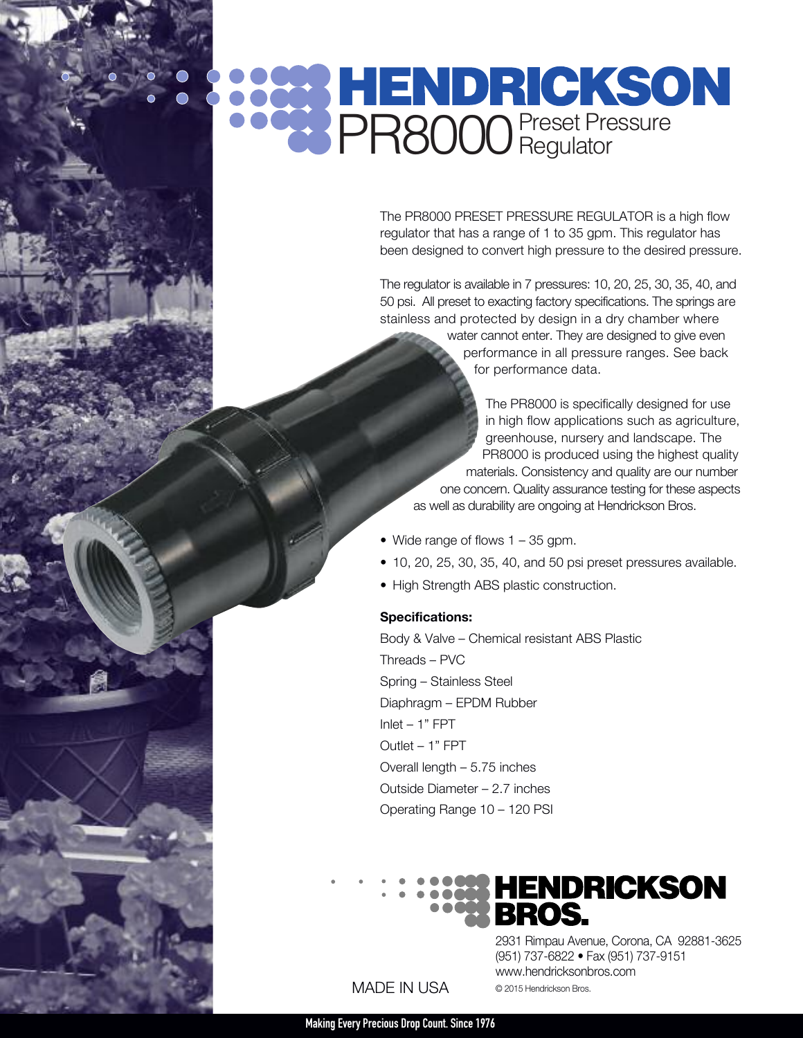# PR8000 Preset Pressure

The PR8000 PRESET PRESSURE REGULATOR is a high flow regulator that has a range of 1 to 35 gpm. This regulator has been designed to convert high pressure to the desired pressure.

The regulator is available in 7 pressures: 10, 20, 25, 30, 35, 40, and 50 psi. All preset to exacting factory specifications. The springs are stainless and protected by design in a dry chamber where

> water cannot enter. They are designed to give even performance in all pressure ranges. See back for performance data.

The PR8000 is specifically designed for use in high flow applications such as agriculture, greenhouse, nursery and landscape. The PR8000 is produced using the highest quality materials. Consistency and quality are our number one concern. Quality assurance testing for these aspects as well as durability are ongoing at Hendrickson Bros.

- Wide range of flows 1 35 gpm.
- 10, 20, 25, 30, 35, 40, and 50 psi preset pressures available.
- High Strength ABS plastic construction.

### **Specifications:**

Body & Valve – Chemical resistant ABS Plastic Threads – PVC Spring – Stainless Steel Diaphragm – EPDM Rubber Inlet – 1" FPT Outlet – 1" FPT Overall length – 5.75 inches Outside Diameter – 2.7 inches Operating Range 10 – 120 PSI



MADE IN USA

2931 Rimpau Avenue, Corona, CA 92881-3625 (951) 737-6822 • Fax (951) 737-9151 www.hendricksonbros.com © 2015 Hendrickson Bros.

**MakingEvery Precious Drop Count. Since1976**